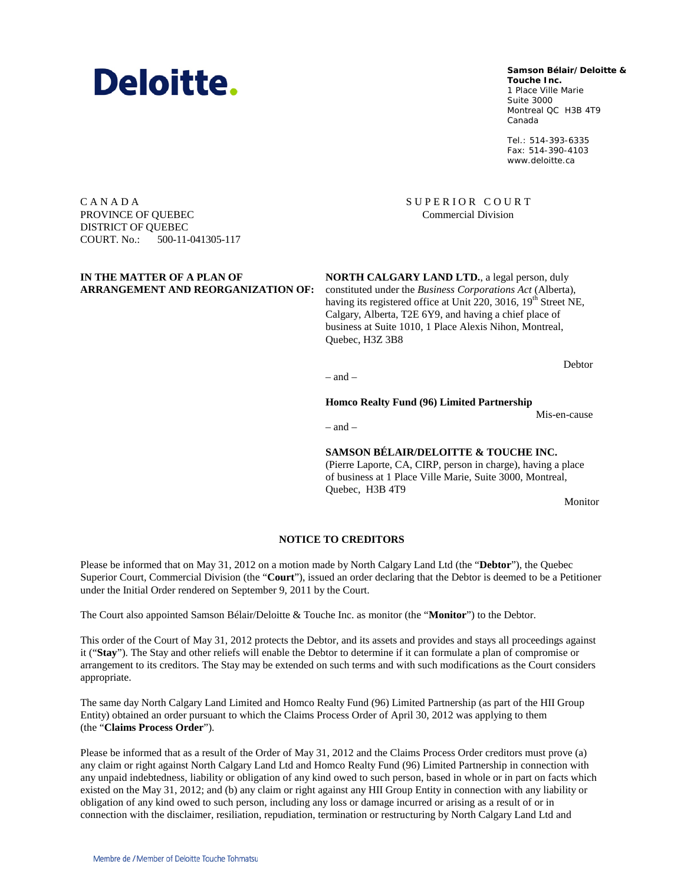#### Membre de / Member of Deloitte Touche Tohmatsu

### **Samson Bélair/Deloitte & Samson Bélair/Deloitte &**

**Touche Inc. Touche Inc.** 1, Place Ville Marie 1 Place Ville Marie Suite 3000 Montréal QC H3B 4T9 Montreal QC H3B 4T9 Canada Canada

Tél. : 514-393-6335 Tel.: 514-393-6335 Téléc. : 514-390-4103 Fax: 514-390-4103 www.deloitte.ca www.deloitte.ca

SUPERIOR COURT Commercial Division

C A N A D A PROVINCE OF QUEBEC DISTRICT OF QUEBEC COURT. No.: 500-11-041305-117

#### **IN THE MATTER OF A PLAN OF ARRANGEMENT AND REORGANIZATION OF:**

**NORTH CALGARY LAND LTD.**, a legal person, duly constituted under the *Business Corporations Act* (Alberta), having its registered office at Unit 220, 3016,  $19<sup>th</sup>$  Street NE, Calgary, Alberta, T2E 6Y9, and having a chief place of business at Suite 1010, 1 Place Alexis Nihon, Montreal, Quebec, H3Z 3B8

Debtor

 $-$  and  $-$ 

**Homco Realty Fund (96) Limited Partnership**

Mis-en-cause

 $=$  and  $=$ 

**SAMSON BÉLAIR/DELOITTE & TOUCHE INC.** (Pierre Laporte, CA, CIRP, person in charge), having a place of business at 1 Place Ville Marie, Suite 3000, Montreal, Quebec, H3B 4T9

Monitor

### **NOTICE TO CREDITORS**

Please be informed that on May 31, 2012 on a motion made by North Calgary Land Ltd (the "**Debtor**"), the Quebec Superior Court, Commercial Division (the "**Court**"), issued an order declaring that the Debtor is deemed to be a Petitioner under the Initial Order rendered on September 9, 2011 by the Court.

The Court also appointed Samson Bélair/Deloitte & Touche Inc. as monitor (the "**Monitor**") to the Debtor.

This order of the Court of May 31, 2012 protects the Debtor, and its assets and provides and stays all proceedings against it ("**Stay**"). The Stay and other reliefs will enable the Debtor to determine if it can formulate a plan of compromise or arrangement to its creditors. The Stay may be extended on such terms and with such modifications as the Court considers appropriate.

The same day North Calgary Land Limited and Homco Realty Fund (96) Limited Partnership (as part of the HII Group Entity) obtained an order pursuant to which the Claims Process Order of April 30, 2012 was applying to them (the "**Claims Process Order**").

Please be informed that as a result of the Order of May 31, 2012 and the Claims Process Order creditors must prove (a) any claim or right against North Calgary Land Ltd and Homco Realty Fund (96) Limited Partnership in connection with any unpaid indebtedness, liability or obligation of any kind owed to such person, based in whole or in part on facts which existed on the May 31, 2012; and (b) any claim or right against any HII Group Entity in connection with any liability or obligation of any kind owed to such person, including any loss or damage incurred or arising as a result of or in connection with the disclaimer, resiliation, repudiation, termination or restructuring by North Calgary Land Ltd and

Deloitte.